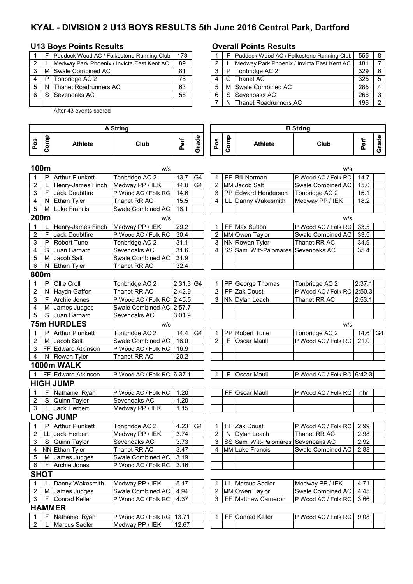# **KYAL - DIVISION 2 U13 BOYS RESULTS 5th June 2016 Central Park, Dartford**

#### **U13 Boys Points Results Overall Points Results**

|   |    | Paddock Wood AC / Folkestone Running Club  | 173 |
|---|----|--------------------------------------------|-----|
| 2 |    | Medway Park Phoenix / Invicta East Kent AC | 89  |
| 3 |    | M Swale Combined AC                        | 81  |
|   |    | P   Tonbridge AC 2                         | 76  |
| 5 |    | N Thanet Roadrunners AC                    | 63  |
| 6 | S. | <b>Sevenoaks AC</b>                        | 55  |
|   |    |                                            |     |

After 43 events scored

#### **Pos Comp Athlete Club Perf Grade Pos Comp Athlete Club Perf Grade 100m** w/s w/s 1 P Arthur Plunkett Tonbridge AC 2 13.7 G4 1 FF Bill Norman P Wood AC / Folk RC 14.7 2 L Henry-James Finch Medway PP / IEK 14.0 G4 2 MM Jacob Salt Swale Combined AC 15.0 3 | F Jack Doubtfire P Wood AC / Folk RC | 14.6 | | 3 | PP Edward Henderson | Tonbridge AC 2 | 15.1 4 N Ethan Tyler Thanet RR AC 15.5 4 LL Danny Wakesmith Medway PP / IEK 18.2 5 M Luke Francis Swale Combined AC 16.1 **200m** w/s w/s 1 L Henry-James Finch Medway PP / IEK 29.2 1 FF Max Sutton P Wood AC / Folk RC 33.5<br>2 F Jack Doubtfire P Wood AC / Folk RC 30.4 2 MM Owen Taylor Swale Combined AC 33.5 2 F Jack Doubtfire P Wood AC / Folk RC 30.4 2 MM Owen Taylor Swale Combined AC 33.5<br>3 P Robert Tune Tonbridge AC 2 31.1 3 NN Rowan Tyler Thanet RR AC 34.9 3 P Robert Tune Tonbridge AC 2 31.1 3 NN Rowan Tyler 4 S Juan Barnard Sevenoaks AC 31.6 4 SS Sami Witt-Palomares Sevenoaks AC 35.4 5 | M Jacob Salt Swale Combined AC 31.9 6 N Ethan Tyler Thanet RR AC 32.4 **800m** 1 P Ollie Croll Tonbridge AC 2 2:31.3 G4 1 PP George Thomas Tonbridge AC 2 2:37.1 2 N Haydn Gaffon Thanet RR AC 2:42.9 2 FF Zak Doust P Wood AC / Folk RC 2:50.3 3 | F Archie Jones | P Wood AC / Folk RC 2:45.5 | 3 NN Dylan Leach | Thanet RR AC | 2:53.1 4 M James Judges Swale Combined AC 2:57.7 5 S Juan Barnard Sevenoaks AC 3:01.9 **75m HURDLES** w/s w/s 1 P Arthur Plunkett Tonbridge AC 2 14.4 G4 1 PP Robert Tune Tonbridge AC 2 14.6 G4 2 M Jacob Salt Swale Combined AC 16.0 2 F Oscar Maull P Wood AC / Folk RC 21.0 3 FF Edward Atkinson | P Wood AC / Folk RC 16.9 4 N Rowan Tyler Thanet RR AC 20.2 **1000m WALK** 1 FF Edward Atkinson P Wood AC / Folk RC 6:37.1 1 F Oscar Maull P Wood AC / Folk RC 6:42.3 **HIGH JUMP**<br> **1 F** Nathaniel Ryan 1 F Nathaniel Ryan P Wood AC / Folk RC 1.20 FF Oscar Maull P Wood AC / Folk RC nhr<br>2 S Quinn Taylor Sevenoaks AC 1.20 FF Oscar Maull 2 S Quinn Taylor Sevenoaks AC<br>3 L Jack Herbert Medway PP / II 3 L Jack Herbert Medway PP / IEK 1.15 **LONG JUMP** 1 P Arthur Plunkett Tonbridge AC 2 4.23 G4 1 FF Zak Doust P Wood AC / Folk RC 2.99 2 LL Jack Herbert Medway PP / IEK 3.74 2 N Dylan Leach Thanet RR AC 2.98 3 S Quinn Taylor Sevenoaks AC 3.73 | | 3 SS Sami Witt-Palomares Sevenoaks AC 2.92 4 | NN Ethan Tyler | Thanet RR AC | 3.47 | | | 4 | MM Luke Francis | Swale Combined AC | 2.88 5 | M James Judges **Symall** Combined AC 3.19 6 | F Archie Jones | P Wood AC / Folk RC 3.16 **SHOT**  1 L Danny Wakesmith Medway PP / IEK 5.17 1 LL Marcus Sadler Medway PP / IEK 4.71 Swale Combined AC 4.94 2 MM Owen Taylor Swale Combined AC 4.45<br>P Wood AC / Folk RC 4.37 3 FF Matthew Cameron P Wood AC / Folk RC 3.66 3 | F Conrad Keller | P Wood AC / Folk RC | 4.37 | | 3 | FF Matthew Cameron | P Wood AC / Folk RC | 3.66 **HAMMER** 1 F Nathaniel Ryan P Wood AC / Folk RC 13.71 1 FF Conrad Keller P Wood AC / Folk RC 9.08 2 L Marcus Sadler Medway PP / IEK 12.67 **A String B String**

|   |       | Paddock Wood AC / Folkestone Running Club  | 173 |  |    | Paddock Wood AC / Folkestone Running Club  | 555 |  |
|---|-------|--------------------------------------------|-----|--|----|--------------------------------------------|-----|--|
| 2 |       | Medway Park Phoenix / Invicta East Kent AC | 89  |  |    | Medway Park Phoenix / Invicta East Kent AC | 481 |  |
| 3 |       | M Swale Combined AC                        | 81  |  | P. | Tonbridge AC 2                             | 329 |  |
|   | 4 I P | Tonbridge AC 2                             | 76  |  |    | G Thanet AC                                | 325 |  |
|   |       | 5   N Thanet Roadrunners AC                | 63  |  |    | M Swale Combined AC                        | 285 |  |
|   | 6 I S | Sevenoaks AC                               | 55  |  |    | S Sevenoaks AC                             | 266 |  |
|   |       |                                            |     |  |    | N Thanet Roadrunners AC                    | 196 |  |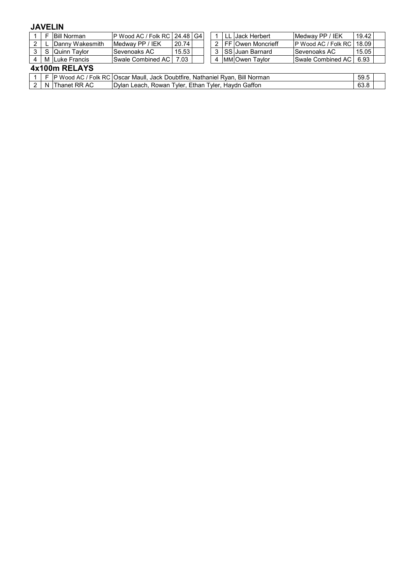## **JAVELIN**

|     | E | <b>Bill Norman</b>   | P Wood AC / Folk RC   24.48   G4 |                                                                                                |  |  |                |  | l LL IJack Herbert     | Medway PP / IEK            | 19.42 |  |
|-----|---|----------------------|----------------------------------|------------------------------------------------------------------------------------------------|--|--|----------------|--|------------------------|----------------------------|-------|--|
| 2   |   | L Danny Wakesmith    | Medway PP / IEK                  | 20.74                                                                                          |  |  |                |  | 2 IFF IOwen Moncrieff  | <b>P</b> Wood AC / Folk RC | 18.09 |  |
| 3 I |   | l S IQuinn Tavlor    | lSevenoaks AC                    | 15.53                                                                                          |  |  |                |  | 3 SS Juan Barnard      | Sevenoaks AC               | 15.05 |  |
|     |   | 4   M Luke Francis   | Swale Combined AC                | 7.03                                                                                           |  |  | $\overline{4}$ |  | <b>IMMIOwen Tavlor</b> | Swale Combined AC          | 6.93  |  |
|     |   | 4x100m RELAYS        |                                  |                                                                                                |  |  |                |  |                        |                            |       |  |
|     |   |                      |                                  | 1   F   P Wood AC / Folk RC   Oscar Maull, Jack Doubtfire, Nathaniel Ryan, Bill Norman<br>59.5 |  |  |                |  |                        |                            |       |  |
|     |   | 2   N   Thanet RR AC |                                  | Dylan Leach, Rowan Tyler, Ethan Tyler, Haydn Gaffon                                            |  |  |                |  |                        |                            |       |  |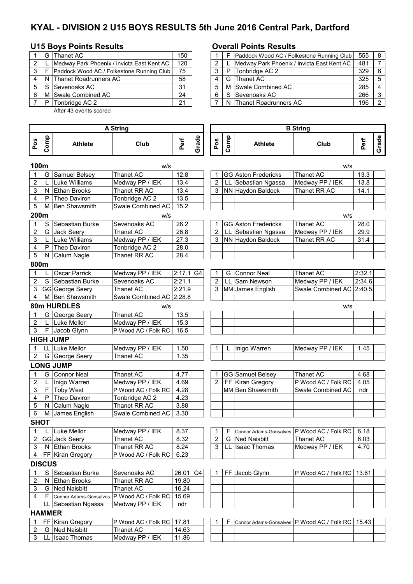# **KYAL - DIVISION 2 U15 BOYS RESULTS 5th June 2016 Central Park, Dartford**

#### **U15 Boys Points Results Overall Points Results**

|   |   | G Thanet AC                                | 150 |  | F Paddock Wood AC / Folkestone Running Club | 555 | - 8            |
|---|---|--------------------------------------------|-----|--|---------------------------------------------|-----|----------------|
| 2 |   | Medway Park Phoenix / Invicta East Kent AC | 120 |  | Medway Park Phoenix / Invicta East Kent AC  | 481 |                |
| 3 |   | Paddock Wood AC / Folkestone Running Club  | 75  |  | P Tonbridge AC 2                            | 329 | 6              |
|   | N | Thanet Roadrunners AC                      | 58  |  | G Thanet AC                                 | 325 | 5              |
|   |   | Sevenoaks AC                               | 31  |  | M Swale Combined AC                         | 285 | $\overline{4}$ |
|   |   | M Swale Combined AC                        | 24  |  | S Sevenoaks AC                              | 266 | 3              |
|   | P | Tonbridge AC 2                             | 21  |  | N Thanet Roadrunners AC                     | 196 | 2              |

3 LL Isaac Thomas Medway PP / IEK 11.86

After 43 events scored

#### **Pos Comp Athlete Club Perf Grade Pos Comp Athlete Club Perf Grade 100m** w/s w/s 1 G Samuel Belsey Thanet AC 12.8 | | 1 GG Aston Fredericks Thanet AC 13.3 2 | L Luke Williams Medway PP / IEK | 13.4 | | | 2 | LL Sebastian Ngassa Medway PP / IEK | 13.8 3 | N Ethan Brooks | Thanet RR AC | 13.4 | | | 3 | NN Haydon Baldock | Thanet RR AC | 14.1 4 | P Theo Daviron | Tonbridge AC 2 | 13.5 5 | M Ben Shawsmith | Swale Combined AC 15.2 **200m** w/s w/s 1 S Sebastian Burke Sevenoaks AC 26.2 1 GG Aston Fredericks Thanet AC 28.0 2 G Jack Seery Thanet AC 26.8 2 LL Sebastian Ngassa Medway PP / IEK 29.9<br>3 L Luke Williams Medway PP / IEK 27.3 3 NN Haydon Baldock Thanet RR AC 31.4 3 L Luke Williams Medway PP / IEK 27.3 3 NN Haydon Baldock Thanet RR AC 31.4<br>4 P Theo Daviron Tonbridge AC 2 28.0 4 P Theo Daviron Tonbridge AC 2 28.0<br>5 N Calum Nagle Thanet RR AC 28.4  $5$  N Calum Nagle **800m** 1 L Oscar Parrick Medway PP / IEK 2:17.1 G4 1 G Connor Neal Thanet AC 2:32.1 2 S Sebastian Burke Sevenoaks AC 2:21.1 2 LL Sam Newson Medway PP / IEK 2:34.6<br>2:21.9 3 MM James English Swale Combined AC 2:40.5 3 GG George Seery Thanet AC 2:21.9 3 MM James English Swale Combined AC 2:40.5 4 | M Ben Shawsmith | Swale Combined AC 2:28.8 **80m HURDLES** w/s w/s G George Seery Thanet AC 13.5 L Luke Mellor Medway PP / IEK 15.3<br>
F Jacob Glynn P Wood AC / Folk RC 16.5 3 | F Jacob Glynn | P Wood AC / Folk RC 16.5 **HIGH JUMP** 1 LL Luke Mellor Medway PP / IEK 1.50 1 L Inigo Warren Medway PP / IEK 1.45 2 G George Seery Thanet AC 1.35 **LONG JUMP** 1 G Connor Neal Thanet AC 1.68 | 4.77 | | | 1 | GG Samuel Belsey | Thanet AC | 4.68 2 | L |Inigo Warren | Medway PP / IEK | 4.69 | | | | 2 | FF | Kiran Gregory | P Wood AC / Folk RC | 4.05 3 | F |Toby West | P Wood AC / Folk RC | 4.28 | | | | | | MM Ben Shawsmith | Swale Combined AC | ndr 4 P Theo Daviron Tonbridge AC 2 4.23 5 N Calum Nagle Thanet RR AC 3.88 6 M James English Swale Combined AC 3.30 **SHOT** 1 L Luke Mellor Medway PP / IEK 8.37 1 | 1 | F Connor Adams-Gonsalves P Wood AC / Folk RC 6.18 2 GG Jack Seery |Thanet AC | 8.32 | | | 2 | G |Ned Naisbitt |Thanet AC | 6.03 3 | N Ethan Brooks | Thanet RR AC | 8.24 | | 3 | LL Isaac Thomas | Medway PP / IEK | 4.70 4 | FF | Kiran Gregory | P Wood AC / Folk RC | 6.23 **DISCUS** 1 S Sebastian Burke Sevenoaks AC 26.01 G4 | 1 FF Jacob Glynn P Wood AC / Folk RC 13.61 2 N Ethan Brooks Thanet RR AC 19.80 3 G Ned Naisbitt Thanet AC 16.24 4 | F Connor Adams-Gonsalves | P Wood AC / Folk RC 15.69 LL Sebastian Ngassa | Medway PP / IEK | ndr **HAMMER** 1 FF Kiran Gregory P Wood AC / Folk RC 17.81 1 F Connor Adams-Gonsalves P Wood AC / Folk RC 15.43 2 G Ned Naisbitt Thanet AC 14.63 **A String B String**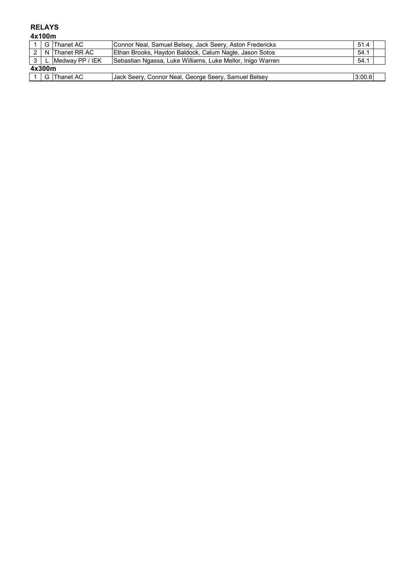## **RELAYS**

**4x100m**

|                | G Thanet AC       | Connor Neal, Samuel Belsey, Jack Seery, Aston Fredericks   | 51.4   |  |
|----------------|-------------------|------------------------------------------------------------|--------|--|
|                | IN Thanet RR AC   | Ethan Brooks, Haydon Baldock, Calum Nagle, Jason Sotos     | 54.1   |  |
| 3 <sup>1</sup> | L Medway PP / IEK | Sebastian Ngassa, Luke Williams, Luke Mellor, Inigo Warren | 54.1   |  |
| 4x300m         |                   |                                                            |        |  |
|                | $1 G $ Thanet AC  | Jack Seery, Connor Neal, George Seery, Samuel Belsey       | 3:00.6 |  |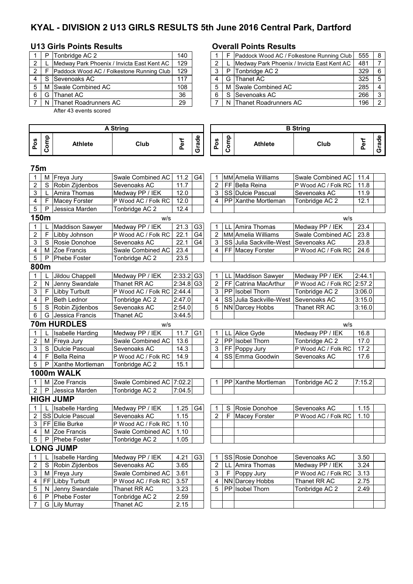# **KYAL - DIVISION 2 U13 GIRLS RESULTS 5th June 2016 Central Park, Dartford**

### **U13 Girls Points Results Overall Points Results**

|   | P Tonbridge AC 2                           | 140 |  |   | F Paddock Wood AC / Folkestone Running Club | 555 | <b>B</b>                 |
|---|--------------------------------------------|-----|--|---|---------------------------------------------|-----|--------------------------|
|   | Medway Park Phoenix / Invicta East Kent AC | 129 |  |   | Medway Park Phoenix / Invicta East Kent AC  | 481 |                          |
| 2 | Paddock Wood AC / Folkestone Running Club  | 129 |  | P | Tonbridge AC 2                              | 329 | 6                        |
|   | S Sevenoaks AC                             | 117 |  |   | G Thanet AC                                 | 325 | 5                        |
|   | M Swale Combined AC                        | 108 |  |   | M Swale Combined AC                         | 285 | $\boldsymbol{\varDelta}$ |
|   | G Thanet AC                                | 36  |  |   | S Sevenoaks AC                              | 266 | 3                        |
|   | N Thanet Roadrunners AC                    | 29  |  |   | N Thanet Roadrunners AC                     | 196 | 2                        |

After 43 events scored

|                | P   | Tonbridge AC 2                             | 140 |  |   | Paddock Wood AC / Folkestone Running Club  | 555 | - 8                      |
|----------------|-----|--------------------------------------------|-----|--|---|--------------------------------------------|-----|--------------------------|
| 2              |     | Medway Park Phoenix / Invicta East Kent AC | 129 |  |   | Medway Park Phoenix / Invicta East Kent AC | 481 |                          |
| $\overline{2}$ |     | Paddock Wood AC / Folkestone Running Club  | 129 |  | P | Tonbridge AC 2                             | 329 | -6                       |
| 4              | - S | Sevenoaks AC                               | 117 |  | G | <b>Thanet AC</b>                           | 325 | -5                       |
| 5 I            |     | M Swale Combined AC                        | 108 |  |   | M Swale Combined AC                        | 285 | $\boldsymbol{\varDelta}$ |
| 61             | G   | <b>Thanet AC</b>                           | 36  |  |   | S Sevenoaks AC                             | 266 | -3                       |
|                |     | N Thanet Roadrunners AC                    | 29  |  |   | N Thanet Roadrunners AC                    | 196 | $\Omega$                 |

| <b>A String</b> |              |                         |                            |                         |                | <b>B</b> String |      |                         |                     |        |       |
|-----------------|--------------|-------------------------|----------------------------|-------------------------|----------------|-----------------|------|-------------------------|---------------------|--------|-------|
| Pos             | Comp         | Athlete                 | Club                       | Perf                    | Grade          | Pos             | Comp | <b>Athlete</b>          | Club                | Perf   | Grade |
| 75m             |              |                         |                            |                         |                |                 |      |                         |                     |        |       |
| 1               | М            | Freya Jury              | Swale Combined AC          | 11.2                    | G4             | 1               |      | MM Amelia Williams      | Swale Combined AC   | 11.4   |       |
| 2               | S            | Robin Zijdenbos         | Sevenoaks AC               | 11.7                    |                | 2               |      | FF Bella Reina          | P Wood AC / Folk RC | 11.8   |       |
| 3               |              | Amira Thomas            | Medway PP / IEK            | 12.0                    |                | 3               |      | SS Dulcie Pascual       | Sevenoaks AC        | 11.9   |       |
| 4               | F            | <b>Macey Forster</b>    | P Wood AC / Folk RC        | 12.0                    |                | 4               |      | PP Xanthe Mortleman     | Tonbridge AC 2      | 12.1   |       |
| 5               | P            | Jessica Marden          | Tonbridge AC 2             | 12.4                    |                |                 |      |                         |                     |        |       |
|                 | 150m         |                         | w/s                        |                         |                |                 |      |                         | W/S                 |        |       |
| 1               |              | <b>Maddison Sawyer</b>  | Medway PP / IEK            | 21.3                    | G <sub>3</sub> | 1               | LL   | Amira Thomas            | Medway PP / IEK     | 23.4   |       |
| $\overline{c}$  | F            | Libby Johnson           | P Wood AC / Folk RC        | 22.1                    | G4             | $\overline{2}$  |      | MM Amelia Williams      | Swale Combined AC   | 23.8   |       |
| 3               | S            | Rosie Donohoe           | Sevenoaks AC               | 22.1                    | G <sub>4</sub> | 3               |      | SS Julia Sackville-West | Sevenoaks AC        | 23.8   |       |
| 4               | М            | Zoe Francis             | Swale Combined AC          | 23.4                    |                | 4               |      | FF Macey Forster        | P Wood AC / Folk RC | 24.6   |       |
| 5               | $\mathsf{P}$ | <b>Phebe Foster</b>     | Tonbridge AC 2             | 23.5                    |                |                 |      |                         |                     |        |       |
| 800m            |              |                         |                            |                         |                |                 |      |                         |                     |        |       |
| 1               |              | Jildou Chappell         | Medway PP / IEK            | $2:33.2$ G3             |                | 1               | LL   | Maddison Sawyer         | Medway PP / IEK     | 2:44.1 |       |
| $\overline{c}$  | N            | Jenny Swandale          | Thanet RR AC               | $2:34.8$ G <sub>3</sub> |                | $\overline{c}$  | FF   | Catrina MacArthur       | P Wood AC / Folk RC | 2:57.2 |       |
| 3               | F.           | Libby Turbutt           | P Wood AC / Folk RC 2:44.4 |                         |                | 3               |      | PP Isobel Thorn         | Tonbridge AC 2      | 3:06.0 |       |
| 4               | P            | <b>Beth Lednor</b>      | Tonbridge AC 2             | 2:47.0                  |                | 4               |      | SS Julia Sackville-West | Sevenoaks AC        | 3:15.0 |       |
| 5               | S            | Robin Zijdenbos         | Sevenoaks AC               | 2:54.0                  |                | 5               |      | <b>NN Darcey Hobbs</b>  | Thanet RR AC        | 3:16.0 |       |
| 6               | G            | Jessica Francis         | Thanet AC                  | 3:44.5                  |                |                 |      |                         |                     |        |       |
|                 |              | <b>70m HURDLES</b>      | W/S                        |                         |                |                 |      |                         | W/S                 |        |       |
| 1               |              | <b>Isabelle Harding</b> | Medway PP / IEK            | 11.7                    | G <sub>1</sub> | 1               | LL   | Alice Gyde              | Medway PP / IEK     | 16.8   |       |
| 2               | М            | Freya Jury              | Swale Combined AC          | 13.6                    |                | $\overline{c}$  |      | PP Isobel Thorn         | Tonbridge AC 2      | 17.0   |       |
| 3               | S            | Dulcie Pascual          | Sevenoaks AC               | 14.3                    |                | 3               |      | FF Poppy Jury           | P Wood AC / Folk RC | 17.2   |       |
| 4               | F            | <b>Bella Reina</b>      | P Wood AC / Folk RC        | 14.9                    |                | 4               |      | SS Emma Goodwin         | Sevenoaks AC        | 17.6   |       |
| 5               | P            | Xanthe Mortleman        | Tonbridge AC 2             | 15.1                    |                |                 |      |                         |                     |        |       |
|                 |              | 1000m WALK              |                            |                         |                |                 |      |                         |                     |        |       |
| 1               | м            | Zoe Francis             | Swale Combined AC 7:02.2   |                         |                |                 |      | PP Xanthe Mortleman     | Tonbridge AC 2      | 7:15.2 |       |
| 2               | P            | Jessica Marden          | Tonbridge AC 2             | 7:04.5                  |                |                 |      |                         |                     |        |       |
|                 |              | <b>HIGH JUMP</b>        |                            |                         |                |                 |      |                         |                     |        |       |
| 1               |              | Isabelle Harding        | Medway PP / IEK            | 1.25                    | G4             | 1               | S    | Rosie Donohoe           | Sevenoaks AC        | 1.15   |       |
| $\overline{2}$  |              | SS Dulcie Pascual       | Sevenoaks AC               | 1.15                    |                | $\overline{2}$  | F    | <b>Macey Forster</b>    | P Wood AC / Folk RC | 1.10   |       |
| 3               |              | FF Ellie Burke          | P Wood AC / Folk RC        | 1.10                    |                |                 |      |                         |                     |        |       |
| 4               | М            | Zoe Francis             | Swale Combined AC          | 1.10                    |                |                 |      |                         |                     |        |       |
|                 |              | 5   P   Phebe Foster    | Tonbridge AC 2             | 1.05                    |                |                 |      |                         |                     |        |       |
|                 |              | <b>LONG JUMP</b>        |                            |                         |                |                 |      |                         |                     |        |       |
| 1               |              | <b>Isabelle Harding</b> | Medway PP / IEK            | 4.21                    | G <sub>3</sub> | 1               |      | SS Rosie Donohoe        | Sevenoaks AC        | 3.50   |       |
| 2               | S            | Robin Zijdenbos         | Sevenoaks AC               | 3.65                    |                | $\overline{2}$  | LL   | Amira Thomas            | Medway PP / IEK     | 3.24   |       |
| 3               |              | M Freya Jury            | Swale Combined AC          | 3.61                    |                | 3               | -F   | Poppy Jury              | P Wood AC / Folk RC | 3.13   |       |
| 4               |              | FF Libby Turbutt        | P Wood AC / Folk RC        | 3.57                    |                | 4               |      | NN Darcey Hobbs         | Thanet RR AC        | 2.75   |       |
| 5               | N.           | Jenny Swandale          | Thanet RR AC               | 3.23                    |                | 5               |      | PP Isobel Thorn         | Tonbridge AC 2      | 2.49   |       |
| 6               | P            | Phebe Foster            | Tonbridge AC 2             | 2.59                    |                |                 |      |                         |                     |        |       |
| 7               |              | G Lily Murray           | Thanet AC                  | 2.15                    |                |                 |      |                         |                     |        |       |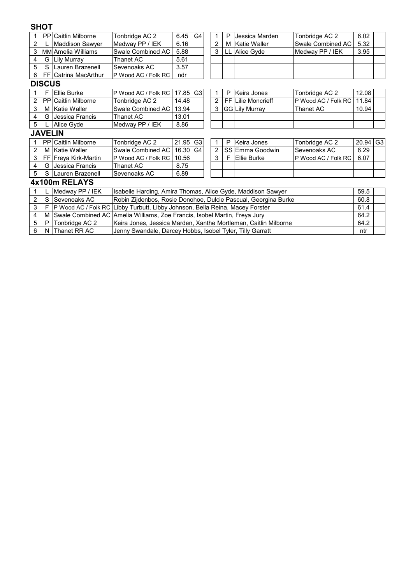### **SHOT**

|                |               | <b>PP Caitlin Milborne</b> | Tonbridge AC 2                                                               | 6.45                                                                   | G4             |                | Р | Jessica Marden        | Tonbridge AC 2      | 6.02  |                |  |  |
|----------------|---------------|----------------------------|------------------------------------------------------------------------------|------------------------------------------------------------------------|----------------|----------------|---|-----------------------|---------------------|-------|----------------|--|--|
| 2              |               | <b>Maddison Sawyer</b>     | Medway PP / IEK                                                              | 6.16                                                                   |                | $\overline{2}$ | м | <b>Katie Waller</b>   | Swale Combined AC   | 5.32  |                |  |  |
| 3              |               | MM Amelia Williams         | Swale Combined AC                                                            | 5.88                                                                   |                | 3              |   | Alice Gyde            | Medway PP / IEK     | 3.95  |                |  |  |
| 4              | G             | Lily Murray                | Thanet AC                                                                    | 5.61                                                                   |                |                |   |                       |                     |       |                |  |  |
| 5              | S             | Lauren Brazenell           | Sevenoaks AC                                                                 | 3.57                                                                   |                |                |   |                       |                     |       |                |  |  |
| 6              |               | FF Catrina MacArthur       | P Wood AC / Folk RC                                                          | ndr                                                                    |                |                |   |                       |                     |       |                |  |  |
|                | <b>DISCUS</b> |                            |                                                                              |                                                                        |                |                |   |                       |                     |       |                |  |  |
|                |               | Ellie Burke                | P Wood AC / Folk RC                                                          | 17.85                                                                  | G <sub>3</sub> | 1              | P | Keira Jones           | Tonbridge AC 2      | 12.08 |                |  |  |
| $\overline{2}$ | <b>PP</b>     | Caitlin Milborne           | Tonbridge AC 2                                                               | 14.48                                                                  |                | $\overline{2}$ |   | FF Lilie Moncrieff    | P Wood AC / Folk RC | 11.84 |                |  |  |
| 3              | м             | <b>Katie Waller</b>        | Swale Combined AC                                                            | 13.94                                                                  |                | 3              |   | <b>GG Lily Murray</b> | Thanet AC           | 10.94 |                |  |  |
| 4              | G             | Jessica Francis            | Thanet AC                                                                    | 13.01                                                                  |                |                |   |                       |                     |       |                |  |  |
| 5              |               | Alice Gyde                 | Medway PP / IEK                                                              | 8.86                                                                   |                |                |   |                       |                     |       |                |  |  |
| <b>JAVELIN</b> |               |                            |                                                                              |                                                                        |                |                |   |                       |                     |       |                |  |  |
|                | PP.           | Caitlin Milborne           | Tonbridge AC 2                                                               | 21.95                                                                  | G <sub>3</sub> | 1              | Р | Keira Jones           | Tonbridge AC 2      | 20.94 | G <sub>3</sub> |  |  |
| $\overline{2}$ | М             | Katie Waller               | Swale Combined AC                                                            | 16.30                                                                  | G4             | $\overline{2}$ |   | SS Emma Goodwin       | Sevenoaks AC        | 6.29  |                |  |  |
| 3              |               | FF Freya Kirk-Martin       | P Wood AC / Folk RC                                                          | 10.56                                                                  |                | 3              | F | Ellie Burke           | P Wood AC / Folk RC | 6.07  |                |  |  |
| 4              | G             | Jessica Francis            | Thanet AC                                                                    | 8.75                                                                   |                |                |   |                       |                     |       |                |  |  |
| 5              | S             | Lauren Brazenell           | Sevenoaks AC                                                                 | 6.89                                                                   |                |                |   |                       |                     |       |                |  |  |
|                |               | 4x100m RELAYS              |                                                                              |                                                                        |                |                |   |                       |                     |       |                |  |  |
|                |               | Medway PP / IEK            | 59.5<br>Isabelle Harding, Amira Thomas, Alice Gyde, Maddison Sawyer          |                                                                        |                |                |   |                       |                     |       |                |  |  |
| $\overline{c}$ | S             | lSevenoaks AC              |                                                                              | Robin Zijdenbos, Rosie Donohoe, Dulcie Pascual, Georgina Burke<br>60.8 |                |                |   |                       |                     |       |                |  |  |
| 3              | F             |                            | P Wood AC / Folk RC Libby Turbutt, Libby Johnson, Bella Reina, Macey Forster |                                                                        |                |                |   |                       |                     | 61.4  |                |  |  |
| 4              | M             |                            | Swale Combined AC Amelia Williams, Zoe Francis, Isobel Martin, Freya Jury    |                                                                        |                |                |   |                       |                     | 64.2  |                |  |  |
| 5              | P             | Tonbridge AC 2             | Keira Jones, Jessica Marden, Xanthe Mortleman, Caitlin Milborne              |                                                                        |                |                |   |                       |                     | 64.2  |                |  |  |
| 6              | N             | Thanet RR AC               |                                                                              | Jenny Swandale, Darcey Hobbs, Isobel Tyler, Tilly Garratt              |                |                |   |                       |                     |       |                |  |  |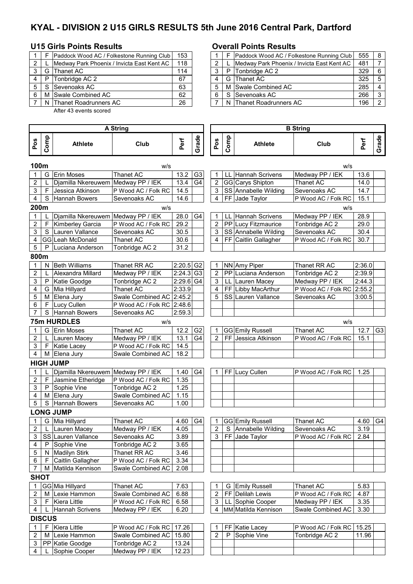# **KYAL - DIVISION 2 U15 GIRLS RESULTS 5th June 2016 Central Park, Dartford**

#### **U15 Girls Points Results Overall Points Results**

| F. | Paddock Wood AC / Folkestone Running Club  | 153 |  |   | Paddock Wood AC / Folkestone Running Club  | 555 | -8             |
|----|--------------------------------------------|-----|--|---|--------------------------------------------|-----|----------------|
|    | Medway Park Phoenix / Invicta East Kent AC | 118 |  |   | Medway Park Phoenix / Invicta East Kent AC | 481 |                |
|    | G Thanet AC                                | 114 |  | P | Tonbridge AC 2                             | 329 | -6             |
| P  | Tonbridge AC 2                             | 67  |  |   | G IThanet AC                               | 325 | .5             |
|    | S Sevenoaks AC                             | 63  |  |   | M Swale Combined AC                        | 285 | $\overline{4}$ |
|    | M Swale Combined AC                        | 62  |  |   | S Sevenoaks AC                             | 266 | 3              |
|    | N Thanet Roadrunners AC                    | 26  |  |   | N Thanet Roadrunners AC                    | 196 | 2              |
|    |                                            |     |  |   |                                            |     |                |

After 43 events scored

|              |       | Paddock Wood AC / Folkestone Running Club  | 153 |  |   | Paddock Wood AC / Folkestone Running Club  | 555 | - 8                    |
|--------------|-------|--------------------------------------------|-----|--|---|--------------------------------------------|-----|------------------------|
| $\mathbf{2}$ |       | Medway Park Phoenix / Invicta East Kent AC | 118 |  |   | Medway Park Phoenix / Invicta East Kent AC | 481 |                        |
| 3 I          | G     | Thanet AC                                  | 114 |  | P | Tonbridge AC 2                             | 329 | - 6                    |
|              | 4 I P | Tonbridge AC 2                             | 67  |  |   | G Thanet AC                                | 325 | - 5                    |
|              | 5 I S | Sevenoaks AC                               | 63  |  |   | M Swale Combined AC                        | 285 | $\boldsymbol{\Lambda}$ |
| 6.           |       | M Swale Combined AC                        | 62  |  |   | S Sevenoaks AC                             | 266 | ີ                      |
|              |       | 7   N   Thanet Roadrunners AC              | 26  |  |   | N Thanet Roadrunners AC                    | 196 |                        |

|                  |               |                        | <b>A String</b>            |                         |                |                |      |                      |                            |        |                |
|------------------|---------------|------------------------|----------------------------|-------------------------|----------------|----------------|------|----------------------|----------------------------|--------|----------------|
| Pos              | Comp          | <b>Athlete</b>         | Club                       | Perf                    | Grade          | Pos            | Comp | <b>Athlete</b>       | Club                       | Perf   | Grade          |
| 100m             |               |                        | w/s                        |                         |                |                |      |                      | w/s                        |        |                |
|                  | G             | <b>Erin Moses</b>      | Thanet AC                  | 13.2                    | G <sub>3</sub> | 1              | LL   | Hannah Scrivens      | Medway PP / IEK            | 13.6   |                |
| 2                |               | Djamilla Nkereuwem     | Medway PP / IEK            | 13.4                    | G4             | $\overline{2}$ |      | GG Carys Shipton     | Thanet AC                  | 14.0   |                |
| 3                | F             | Jessica Atkinson       | P Wood AC / Folk RC        | 14.5                    |                | 3              |      | SS Annabelle Wilding | Sevenoaks AC               | 14.7   |                |
| 4                | S             | Hannah Bowers          | Sevenoaks AC               | 14.6                    |                | $\overline{4}$ |      | FF Jade Taylor       | P Wood AC / Folk RC        | 15.1   |                |
| 200m             |               |                        | W/S                        |                         |                |                |      |                      | w/s                        |        |                |
| 1                |               | Djamilla Nkereuwem     | Medway PP / IEK            | 28.0                    | G4             | 1              | LL   | Hannah Scrivens      | Medway PP / IEK            | 28.9   |                |
| 2                | F             | Kimberley Garcia       | P Wood AC / Folk RC        | 29.2                    |                | $\overline{2}$ |      | PP Lucy Fitzmaurice  | Tonbridge AC 2             | 29.0   |                |
| 3                |               | S Lauren Vallance      | Sevenoaks AC               | 30.5                    |                | 3              |      | SS Annabelle Wilding | Sevenoaks AC               | 30.4   |                |
| 4                |               | GG Leah McDonald       | <b>Thanet AC</b>           | 30.6                    |                | 4              |      | FF Caitlin Gallagher | P Wood AC / Folk RC        | 30.7   |                |
| 5                | P             | Luciana Anderson       | Tonbridge AC 2             | 31.2                    |                |                |      |                      |                            |        |                |
| 800m             |               |                        |                            |                         |                |                |      |                      |                            |        |                |
| $\mathbf{1}$     |               | N Beth Williams        | Thanet RR AC               | $2:20.5$ G <sub>2</sub> |                | $\mathbf{1}$   |      | NN Amy Piper         | Thanet RR AC               | 2:36.0 |                |
| $\overline{c}$   |               | Alexandra Millard      | Medway PP / IEK            | $2:24.3$ G <sub>3</sub> |                | $\overline{2}$ |      | PP Luciana Anderson  | Tonbridge AC 2             | 2:39.9 |                |
| 3                |               | P Katie Goodge         | Tonbridge AC 2             | 2:29.6 G4               |                | 3              |      | LL Lauren Macey      | Medway PP / IEK            | 2:44.3 |                |
| 4                |               | G Mia Hillyard         | Thanet AC                  | 2:33.9                  |                | 4              |      | FF Libby MacArthur   | P Wood AC / Folk RC 2:55.2 |        |                |
| 5                |               | M Elena Jury           | Swale Combined AC 2:45.2   |                         |                | 5              |      | SS Lauren Vallance   | Sevenoaks AC               | 3:00.5 |                |
| 6                | F             | Lucy Cullen            | P Wood AC / Folk RC 2:48.6 |                         |                |                |      |                      |                            |        |                |
| 7                |               | S Hannah Bowers        | Sevenoaks AC               | 2:59.3                  |                |                |      |                      |                            |        |                |
|                  |               | <b>75m HURDLES</b>     | w/s                        |                         |                |                |      |                      | w/s                        |        |                |
| 1                |               | G Erin Moses           | Thanet AC                  | 12.2                    | G <sub>2</sub> | 1              |      | GG Emily Russell     | Thanet AC                  | 12.7   | G <sub>3</sub> |
| $\overline{2}$   |               | Lauren Macey           | Medway PP / IEK            | 13.1                    | G <sub>4</sub> | 2              |      | FF Jessica Atkinson  | P Wood AC / Folk RC        | 15.1   |                |
| 3                |               | F Katie Lacey          | P Wood AC / Folk RC        | 14.5                    |                |                |      |                      |                            |        |                |
| 4                |               | M Elena Jury           | Swale Combined AC          | 18.2                    |                |                |      |                      |                            |        |                |
|                  |               | <b>HIGH JUMP</b>       |                            |                         |                |                |      |                      |                            |        |                |
| 1                |               | Djamilla Nkereuwem     | Medway PP / IEK            | 1.40                    | G <sub>4</sub> | 1              |      | FF Lucy Cullen       | P Wood AC / Folk RC        | 1.25   |                |
| $\overline{c}$   | F             | Jasmine Etheridge      | P Wood AC / Folk RC        | 1.35                    |                |                |      |                      |                            |        |                |
| 3                |               | P Sophie Vine          | Tonbridge AC 2             | 1.25                    |                |                |      |                      |                            |        |                |
| 4                |               | M Elena Jury           | Swale Combined AC          | 1.15                    |                |                |      |                      |                            |        |                |
| 5                | S             | Hannah Bowers          | Sevenoaks AC               | 1.00                    |                |                |      |                      |                            |        |                |
|                  |               | <b>LONG JUMP</b>       |                            |                         |                |                |      |                      |                            |        |                |
| -1               |               | G Mia Hillyard         | Thanet AC                  | 4.60                    | G4             | 1              |      | GG Emily Russell     | Thanet AC                  | 4.60   | G4             |
| 2                |               | L Lauren Macey         | Medway PP / IEK            | 4.05                    |                | $\overline{2}$ |      | S Annabelle Wilding  | Sevenoaks AC               | 3.19   |                |
| $\overline{3}$   |               | SS Lauren Vallance     | Sevenoaks AC               | 3.89                    |                |                |      | 3 FF Jade Taylor     | P Wood AC / Folk RC        | 2.84   |                |
| 4                | P             | Sophie Vine            | Tonbridge AC 2             | 3.65                    |                |                |      |                      |                            |        |                |
| 5                |               | N Madilyn Stirk        | Thanet RR AC               | 3.46                    |                |                |      |                      |                            |        |                |
| 6                | F.            | Caitlin Gallagher      | P Wood AC / Folk RC        | 3.34                    |                |                |      |                      |                            |        |                |
| 7                |               | M Matilda Kennison     | Swale Combined AC          | 2.08                    |                |                |      |                      |                            |        |                |
| <b>SHOT</b>      |               |                        |                            |                         |                |                |      |                      |                            |        |                |
| $\mathbf{1}$     |               | GG Mia Hillyard        | Thanet AC                  | 7.63                    |                |                |      | G Emily Russell      | Thanet AC                  | 5.83   |                |
| $\boldsymbol{2}$ | м             | Lexie Hammon           | Swale Combined AC          | 6.88                    |                | 2              |      | FF Delilah Lewis     | P Wood AC / Folk RC        | 4.87   |                |
| 3                | F             | Kiera Little           | P Wood AC / Folk RC        | 6.58                    |                | 3              |      | LL Sophie Cooper     | Medway PP / IEK            | 3.35   |                |
| 4                |               | <b>Hannah Scrivens</b> | Medway PP / IEK            | 6.20                    |                | 4              |      | MM Matilda Kennison  | Swale Combined AC          | 3.30   |                |
|                  | <b>DISCUS</b> |                        |                            |                         |                |                |      |                      |                            |        |                |
| $\mathbf{1}$     | F.            | Kiera Little           | P Wood AC / Folk RC        | 17.26                   |                | 1              |      | FF Katie Lacey       | P Wood AC / Folk RC        | 15.25  |                |
| 2                | м             | Lexie Hammon           | Swale Combined AC          | 15.80                   |                | 2              | P    | Sophie Vine          | Tonbridge AC 2             | 11.96  |                |
| 3                |               | PP Katie Goodge        | Tonbridge AC 2             | 13.24                   |                |                |      |                      |                            |        |                |
| 4                |               | Sophie Cooper          | Medway PP / IEK            | 12.23                   |                |                |      |                      |                            |        |                |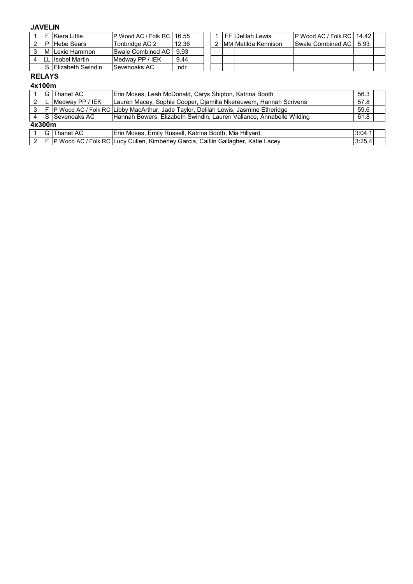## **JAVELIN**

|    | Kiera Little              | <b>IP Wood AC / Folk RC I</b> | 16.551 |  | l FF IDelilah Lewis  | IP Wood AC / Folk RC   14.42 |      |  |
|----|---------------------------|-------------------------------|--------|--|----------------------|------------------------------|------|--|
|    | <b>Hebe Sears</b>         | Tonbridge AC 2                | 12.36  |  | IMMIMatilda Kennison | <b>Swale Combined AC</b>     | 5.93 |  |
|    | M ILexie Hammon           | Swale Combined AC I           | 9.93   |  |                      |                              |      |  |
| LI | <b>Ilsobel Martin</b>     | Medway PP / IEK               | 9.44   |  |                      |                              |      |  |
|    | <b>IElizabeth Swindin</b> | Sevenoaks AC                  | ndr    |  |                      |                              |      |  |

### **RELAYS**

#### **4x100m**

|                |  | G Thanet AC           | Erin Moses, Leah McDonald, Carys Shipton, Katrina Booth                                              | 56.3   |  |  |
|----------------|--|-----------------------|------------------------------------------------------------------------------------------------------|--------|--|--|
| 2              |  | Medway PP / IEK       | Lauren Macey, Sophie Cooper, Djamilla Nkereuwem, Hannah Scrivens                                     |        |  |  |
| 3 <sup>1</sup> |  |                       | 59.6<br>P Wood AC / Folk RC Libby MacArthur, Jade Taylor, Delilah Lewis, Jasmine Etheridge           |        |  |  |
|                |  | I 4 I S ISevenoaks AC | 61.8<br>Hannah Bowers, Elizabeth Swindin, Lauren Vallance, Annabelle Wilding                         |        |  |  |
| 4x300m         |  |                       |                                                                                                      |        |  |  |
|                |  | G Thanet AC           | Erin Moses, Emily Russell, Katrina Booth, Mia Hillyard                                               | 3:04.1 |  |  |
|                |  |                       | 2   F  P Wood AC / Folk RC   Lucy Cullen, Kimberley Garcia, Caitlin Gallagher, Katie Lacey<br>3:25.4 |        |  |  |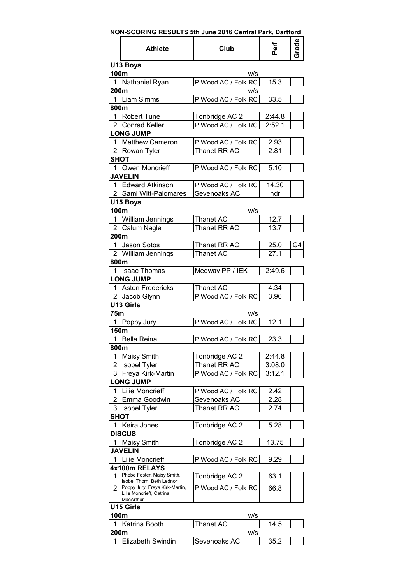| <b>Athlete</b>                                                               | Club                | Perf                | Grade |
|------------------------------------------------------------------------------|---------------------|---------------------|-------|
| U13 Boys                                                                     |                     |                     |       |
| 100m                                                                         | w/s                 |                     |       |
| Nathaniel Ryan<br>1                                                          | P Wood AC / Folk RC | 15.3                |       |
| 200m                                                                         | W/S                 |                     |       |
| Liam Simms<br>1                                                              | P Wood AC / Folk RC | 33.5                |       |
| 800m                                                                         |                     |                     |       |
| <b>Robert Tune</b><br>1                                                      | Tonbridge AC 2      | 2:44.8              |       |
| $\overline{2}$<br><b>Conrad Keller</b>                                       | P Wood AC / Folk RC | $2:52.\overline{1}$ |       |
| <b>LONG JUMP</b>                                                             |                     |                     |       |
| Matthew Cameron<br>1                                                         | P Wood AC / Folk RC | 2.93                |       |
| $\mathbf{2}^{\prime}$<br>Rowan Tyler                                         | Thanet RR AC        | 2.81                |       |
| <b>SHOT</b>                                                                  |                     |                     |       |
| 1 Owen Moncrieff                                                             | P Wood AC / Folk RC | 5.10                |       |
| <b>JAVELIN</b>                                                               |                     |                     |       |
| 1 Edward Atkinson                                                            | P Wood AC / Folk RC | 14.30               |       |
| 2 Sami Witt-Palomares                                                        | Sevenoaks AC        | ndr                 |       |
| U15 Boys                                                                     |                     |                     |       |
| 100m                                                                         | w/s                 |                     |       |
| <b>William Jennings</b><br>1                                                 | Thanet AC           | 12.7                |       |
| $\overline{2}$<br>Calum Nagle                                                | Thanet RR AC        | 13.7                |       |
| 200m                                                                         |                     |                     |       |
| Jason Sotos<br>1                                                             | Thanet RR AC        | 25.0                | G4    |
| $\overline{2}$<br><b>William Jennings</b>                                    | <b>Thanet AC</b>    | 27.1                |       |
| 800m                                                                         |                     |                     |       |
| 1<br><b>Isaac Thomas</b>                                                     | Medway PP / IEK     | 2:49.6              |       |
| <b>LONG JUMP</b>                                                             |                     |                     |       |
| <b>Aston Fredericks</b><br>1                                                 | Thanet AC           | 4.34                |       |
| 2 Jacob Glynn                                                                | P Wood AC / Folk RC | 3.96                |       |
| U13 Girls                                                                    |                     |                     |       |
|                                                                              |                     |                     |       |
| 75m                                                                          | w/s                 |                     |       |
| 1<br>Poppy Jury                                                              | P Wood AC / Folk RC | 12.1                |       |
| 150m                                                                         |                     |                     |       |
| 1 Bella Reina                                                                | P Wood AC / Folk RC | 23.3                |       |
| 800m                                                                         |                     |                     |       |
| <b>Maisy Smith</b><br>1                                                      | Tonbridge AC 2      | 2:44.8              |       |
| 2<br><b>Isobel Tyler</b>                                                     | Thanet RR AC        | 3:08.0              |       |
| 3<br>Freya Kirk-Martin                                                       | P Wood AC / Folk RC | 3:12.1              |       |
| <b>LONG JUMP</b>                                                             |                     |                     |       |
| <b>Lilie Moncrieff</b><br>1                                                  | P Wood AC / Folk RC | 2.42                |       |
| 2<br>Emma Goodwin                                                            | Sevenoaks AC        | 2.28                |       |
| 3<br><b>Isobel Tyler</b>                                                     | Thanet RR AC        | 2.74                |       |
| <b>SHOT</b>                                                                  |                     |                     |       |
| 1<br>Keira Jones                                                             | Tonbridge AC 2      | 5.28                |       |
| <b>DISCUS</b>                                                                |                     |                     |       |
| Maisy Smith                                                                  | Tonbridge AC 2      | 13.75               |       |
| <b>JAVELIN</b>                                                               |                     |                     |       |
| <b>Lilie Moncrieff</b><br>1                                                  | P Wood AC / Folk RC | 9.29                |       |
| 4x100m RELAYS                                                                |                     |                     |       |
| Phebe Foster, Maisy Smith,<br>1                                              | Tonbridge AC 2      | 63.1                |       |
| Isobel Thorn, Beth Lednor                                                    |                     |                     |       |
| Poppy Jury, Freya Kirk-Martin,<br>2<br>Lilie Moncrieff, Catrina<br>MacArthur | P Wood AC / Folk RC | 66.8                |       |
| U15 Girls                                                                    |                     |                     |       |
| 100m                                                                         | w/s                 |                     |       |
| 1<br>Katrina Booth                                                           | Thanet AC           | 14.5                |       |

|      | IKatrina Booth            | Thanet AC            | 14.5 |  |  |  |
|------|---------------------------|----------------------|------|--|--|--|
| 200m |                           | w/s                  |      |  |  |  |
|      | <b>IElizabeth Swindin</b> | <b>ISevenoaks AC</b> | 35.2 |  |  |  |